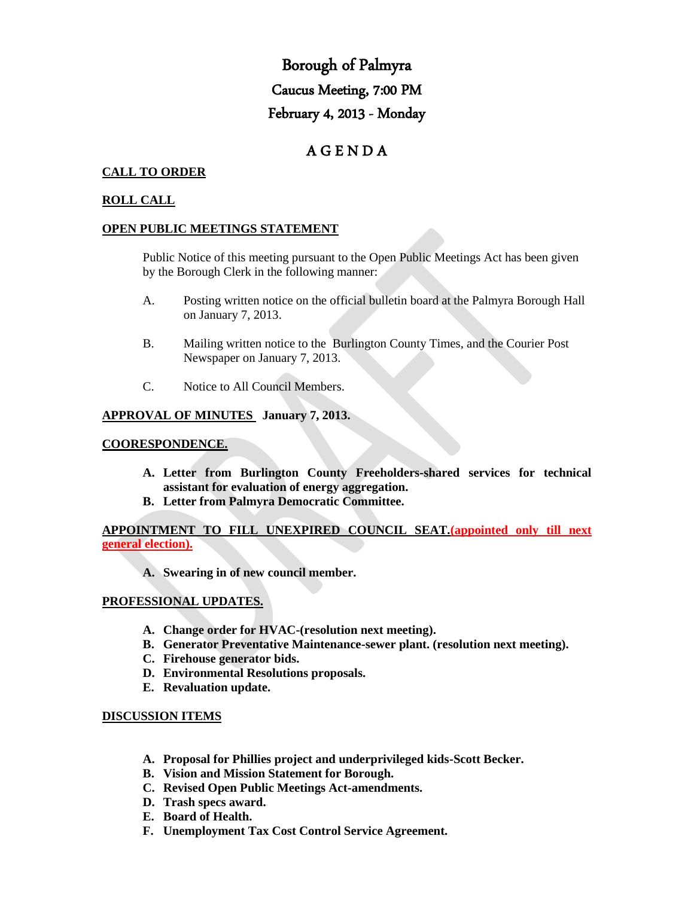# Borough of Palmyra Caucus Meeting, 7:00 PM February 4, 2013 - Monday

# A G E N D A

# **CALL TO ORDER**

#### **ROLL CALL**

# **OPEN PUBLIC MEETINGS STATEMENT**

Public Notice of this meeting pursuant to the Open Public Meetings Act has been given by the Borough Clerk in the following manner:

- A. Posting written notice on the official bulletin board at the Palmyra Borough Hall on January 7, 2013.
- B. Mailing written notice to the Burlington County Times, and the Courier Post Newspaper on January 7, 2013.
- C. Notice to All Council Members.

#### **APPROVAL OF MINUTES January 7, 2013.**

#### **COORESPONDENCE.**

- **A. Letter from Burlington County Freeholders-shared services for technical assistant for evaluation of energy aggregation.**
- **B. Letter from Palmyra Democratic Committee.**

**APPOINTMENT TO FILL UNEXPIRED COUNCIL SEAT.(appointed only till next general election).**

**A. Swearing in of new council member.**

#### **PROFESSIONAL UPDATES.**

- **A. Change order for HVAC-(resolution next meeting).**
- **B. Generator Preventative Maintenance-sewer plant. (resolution next meeting).**
- **C. Firehouse generator bids.**
- **D. Environmental Resolutions proposals.**
- **E. Revaluation update.**

## **DISCUSSION ITEMS**

- **A. Proposal for Phillies project and underprivileged kids-Scott Becker.**
- **B. Vision and Mission Statement for Borough.**
- **C. Revised Open Public Meetings Act-amendments.**
- **D. Trash specs award.**
- **E. Board of Health.**
- **F. Unemployment Tax Cost Control Service Agreement.**